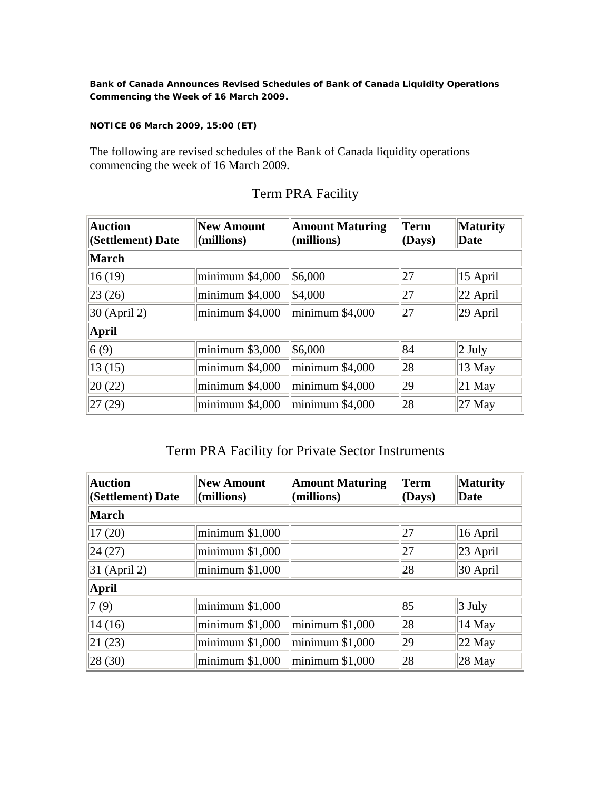**Bank of Canada Announces Revised Schedules of Bank of Canada Liquidity Operations Commencing the Week of 16 March 2009.** 

**NOTICE 06 March 2009, 15:00 (ET)** 

The following are revised schedules of the Bank of Canada liquidity operations commencing the week of 16 March 2009.

| Auction<br>(Settlement) Date | New Amount<br>$\langle$ millions) | <b>Amount Maturing</b><br>$\vert$ (millions) | Term<br>(Days) | <b>Maturity</b><br>Date |
|------------------------------|-----------------------------------|----------------------------------------------|----------------|-------------------------|
| March                        |                                   |                                              |                |                         |
| 16(19)                       | minimum \$4,000                   | \$6,000                                      | 27             | $ 15 \text{ April} $    |
| 23(26)                       | minimum \$4,000                   | \$4,000                                      | 27             | $ 22$ April             |
| $30$ (April 2)               | minimum \$4,000                   | minimum \$4,000                              | 27             | $ 29 \text{ April} $    |
| April                        |                                   |                                              |                |                         |
| 6(9)                         | minimum \$3,000                   | \$6,000                                      | 84             | $ 2 \text{ July}$       |
| 13(15)                       | minimum \$4,000                   | minimum \$4,000                              | 28             | $ 13 \text{ May} $      |
| 20(22)                       | minimum \$4,000                   | minimum \$4,000                              | 29             | $ 21$ May               |
| 27(29)                       | minimum \$4,000                   | minimum \$4,000                              | 28             | $ 27 \text{ May} $      |

## Term PRA Facility

## Term PRA Facility for Private Sector Instruments

| <b>Auction</b><br>(Settlement) Date | <b>New Amount</b><br>(millions) | <b>Amount Maturing</b><br>(millions) | Term<br>(Days) | <b>Maturity</b><br>Date |
|-------------------------------------|---------------------------------|--------------------------------------|----------------|-------------------------|
| March                               |                                 |                                      |                |                         |
| 17(20)                              | minimum \$1,000                 |                                      | 27             | $ 16 \text{ April}$     |
| 24(27)                              | minimum \$1,000                 |                                      | 27             | $ 23 \text{ April} $    |
| $ 31 \text{ (April 2)}$             | minimum \$1,000                 |                                      | 28             | 30 April                |
| April                               |                                 |                                      |                |                         |
| 7(9)                                | minimum \$1,000                 |                                      | 85             | $\vert 3 \text{ July}$  |
| 14(16)                              | minimum \$1,000                 | minimum \$1,000                      | 28             | $ 14 \text{ May} $      |
| 21(23)                              | minimum \$1,000                 | minimum \$1,000                      | 29             | $ 22 \text{ May} $      |
| 28(30)                              | minimum \$1,000                 | minimum \$1,000                      | 28             | $ 28 \text{ May} $      |